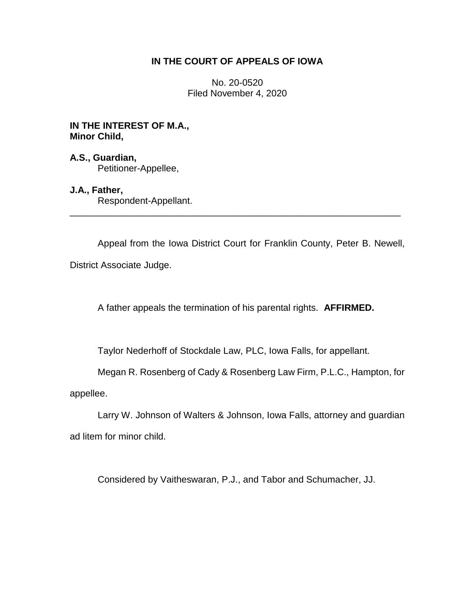## **IN THE COURT OF APPEALS OF IOWA**

No. 20-0520 Filed November 4, 2020

## **IN THE INTEREST OF M.A., Minor Child,**

**A.S., Guardian,** Petitioner-Appellee,

## **J.A., Father,**

Respondent-Appellant.

Appeal from the Iowa District Court for Franklin County, Peter B. Newell,

District Associate Judge.

A father appeals the termination of his parental rights. **AFFIRMED.**

\_\_\_\_\_\_\_\_\_\_\_\_\_\_\_\_\_\_\_\_\_\_\_\_\_\_\_\_\_\_\_\_\_\_\_\_\_\_\_\_\_\_\_\_\_\_\_\_\_\_\_\_\_\_\_\_\_\_\_\_\_\_\_\_

Taylor Nederhoff of Stockdale Law, PLC, Iowa Falls, for appellant.

Megan R. Rosenberg of Cady & Rosenberg Law Firm, P.L.C., Hampton, for

appellee.

Larry W. Johnson of Walters & Johnson, Iowa Falls, attorney and guardian ad litem for minor child.

Considered by Vaitheswaran, P.J., and Tabor and Schumacher, JJ.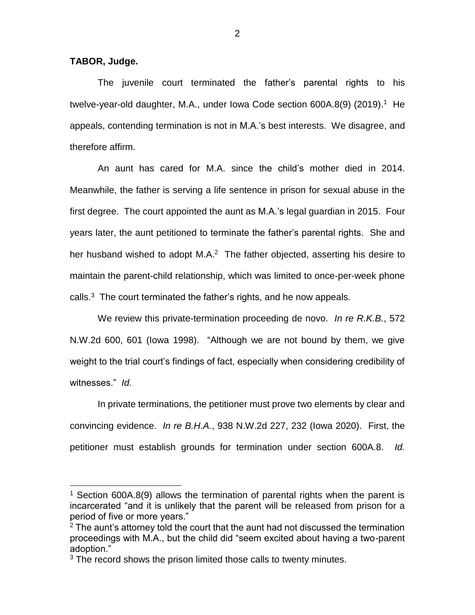**TABOR, Judge.**

 $\overline{a}$ 

The juvenile court terminated the father's parental rights to his twelve-year-old daughter, M.A., under Iowa Code section 600A.8(9) (2019).<sup>1</sup> He appeals, contending termination is not in M.A.'s best interests. We disagree, and therefore affirm.

An aunt has cared for M.A. since the child's mother died in 2014. Meanwhile, the father is serving a life sentence in prison for sexual abuse in the first degree. The court appointed the aunt as M.A.'s legal guardian in 2015. Four years later, the aunt petitioned to terminate the father's parental rights. She and her husband wished to adopt M.A.<sup>2</sup> The father objected, asserting his desire to maintain the parent-child relationship, which was limited to once-per-week phone calls.<sup>3</sup> The court terminated the father's rights, and he now appeals.

We review this private-termination proceeding de novo. *In re R.K.B.*, 572 N.W.2d 600, 601 (Iowa 1998). "Although we are not bound by them, we give weight to the trial court's findings of fact, especially when considering credibility of witnesses." *Id.*

In private terminations, the petitioner must prove two elements by clear and convincing evidence. *In re B.H.A.*, 938 N.W.2d 227, 232 (Iowa 2020). First, the petitioner must establish grounds for termination under section 600A.8. *Id.* 

<sup>&</sup>lt;sup>1</sup> Section 600A.8(9) allows the termination of parental rights when the parent is incarcerated "and it is unlikely that the parent will be released from prison for a period of five or more years."

 $2$  The aunt's attorney told the court that the aunt had not discussed the termination proceedings with M.A., but the child did "seem excited about having a two-parent adoption."

<sup>&</sup>lt;sup>3</sup> The record shows the prison limited those calls to twenty minutes.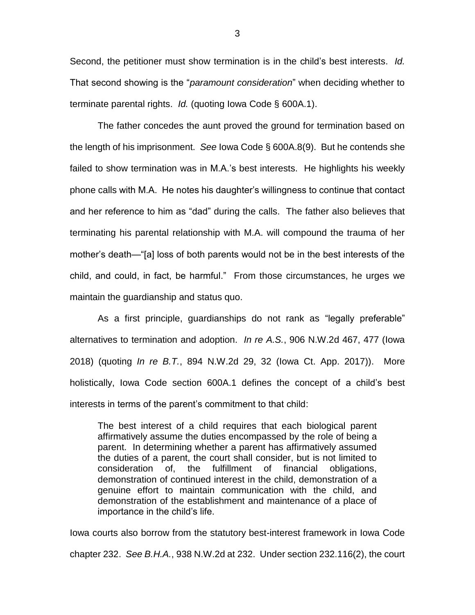Second, the petitioner must show termination is in the child's best interests. *Id.*  That second showing is the "*paramount consideration*" when deciding whether to terminate parental rights. *Id.* (quoting Iowa Code § 600A.1).

The father concedes the aunt proved the ground for termination based on the length of his imprisonment. *See* Iowa Code § 600A.8(9). But he contends she failed to show termination was in M.A.'s best interests. He highlights his weekly phone calls with M.A. He notes his daughter's willingness to continue that contact and her reference to him as "dad" during the calls. The father also believes that terminating his parental relationship with M.A. will compound the trauma of her mother's death—"[a] loss of both parents would not be in the best interests of the child, and could, in fact, be harmful." From those circumstances, he urges we maintain the guardianship and status quo.

As a first principle, guardianships do not rank as "legally preferable" alternatives to termination and adoption. *In re A.S.*, 906 N.W.2d 467, 477 (Iowa 2018) (quoting *In re B.T.*, 894 N.W.2d 29, 32 (Iowa Ct. App. 2017)). More holistically, Iowa Code section 600A.1 defines the concept of a child's best interests in terms of the parent's commitment to that child:

The best interest of a child requires that each biological parent affirmatively assume the duties encompassed by the role of being a parent. In determining whether a parent has affirmatively assumed the duties of a parent, the court shall consider, but is not limited to consideration of, the fulfillment of financial obligations, demonstration of continued interest in the child, demonstration of a genuine effort to maintain communication with the child, and demonstration of the establishment and maintenance of a place of importance in the child's life.

Iowa courts also borrow from the statutory best-interest framework in Iowa Code chapter 232. *See B.H.A.*, 938 N.W.2d at 232. Under section 232.116(2), the court